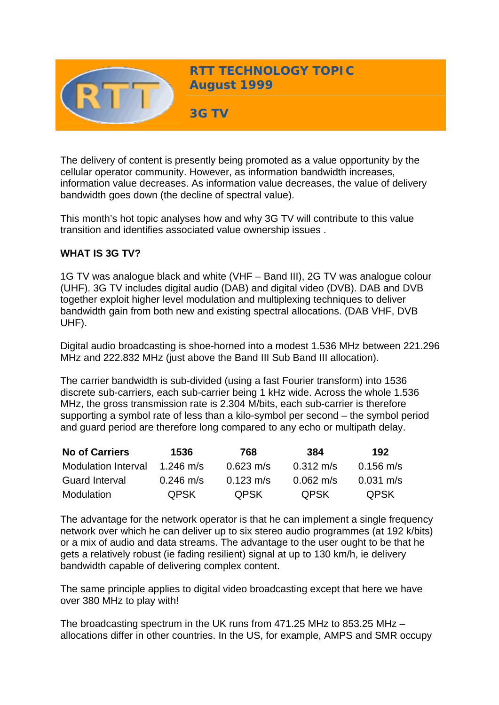

The delivery of content is presently being promoted as a value opportunity by the cellular operator community. However, as information bandwidth increases, information value decreases. As information value decreases, the value of delivery bandwidth goes down (the decline of spectral value).

This month's hot topic analyses how and why 3G TV will contribute to this value transition and identifies associated value ownership issues .

# **WHAT IS 3G TV?**

1G TV was analogue black and white (VHF – Band III), 2G TV was analogue colour (UHF). 3G TV includes digital audio (DAB) and digital video (DVB). DAB and DVB together exploit higher level modulation and multiplexing techniques to deliver bandwidth gain from both new and existing spectral allocations. (DAB VHF, DVB UHF).

Digital audio broadcasting is shoe-horned into a modest 1.536 MHz between 221.296 MHz and 222.832 MHz (just above the Band III Sub Band III allocation).

The carrier bandwidth is sub-divided (using a fast Fourier transform) into 1536 discrete sub-carriers, each sub-carrier being 1 kHz wide. Across the whole 1.536 MHz, the gross transmission rate is 2.304 M/bits, each sub-carrier is therefore supporting a symbol rate of less than a kilo-symbol per second – the symbol period and guard period are therefore long compared to any echo or multipath delay.

| <b>No of Carriers</b>      | 1536                | 768                 | 384                 | 192                 |
|----------------------------|---------------------|---------------------|---------------------|---------------------|
| <b>Modulation Interval</b> | 1.246 m/s           | $0.623 \text{ m/s}$ | $0.312 \text{ m/s}$ | $0.156$ m/s         |
| <b>Guard Interval</b>      | $0.246 \text{ m/s}$ | $0.123 \text{ m/s}$ | $0.062 \text{ m/s}$ | $0.031 \text{ m/s}$ |
| Modulation                 | <b>QPSK</b>         | <b>QPSK</b>         | <b>OPSK</b>         | <b>QPSK</b>         |

The advantage for the network operator is that he can implement a single frequency network over which he can deliver up to six stereo audio programmes (at 192 k/bits) or a mix of audio and data streams. The advantage to the user ought to be that he gets a relatively robust (ie fading resilient) signal at up to 130 km/h, ie delivery bandwidth capable of delivering complex content.

The same principle applies to digital video broadcasting except that here we have over 380 MHz to play with!

The broadcasting spectrum in the UK runs from 471.25 MHz to 853.25 MHz – allocations differ in other countries. In the US, for example, AMPS and SMR occupy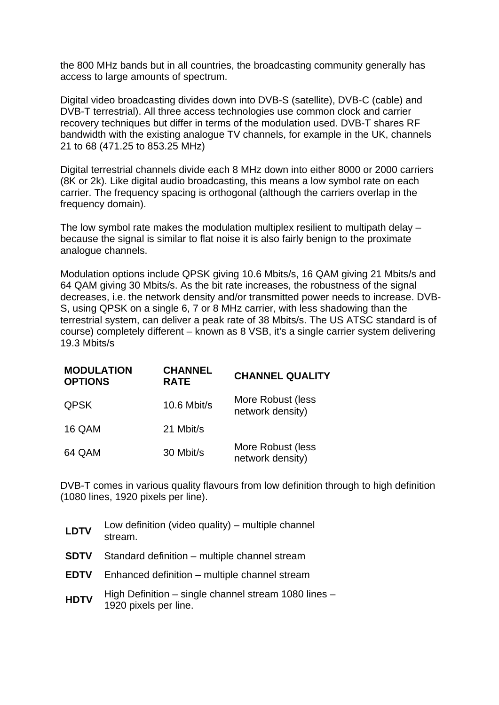the 800 MHz bands but in all countries, the broadcasting community generally has access to large amounts of spectrum.

Digital video broadcasting divides down into DVB-S (satellite), DVB-C (cable) and DVB-T terrestrial). All three access technologies use common clock and carrier recovery techniques but differ in terms of the modulation used. DVB-T shares RF bandwidth with the existing analogue TV channels, for example in the UK, channels 21 to 68 (471.25 to 853.25 MHz)

Digital terrestrial channels divide each 8 MHz down into either 8000 or 2000 carriers (8K or 2k). Like digital audio broadcasting, this means a low symbol rate on each carrier. The frequency spacing is orthogonal (although the carriers overlap in the frequency domain).

The low symbol rate makes the modulation multiplex resilient to multipath delay – because the signal is similar to flat noise it is also fairly benign to the proximate analogue channels.

Modulation options include QPSK giving 10.6 Mbits/s, 16 QAM giving 21 Mbits/s and 64 QAM giving 30 Mbits/s. As the bit rate increases, the robustness of the signal decreases, i.e. the network density and/or transmitted power needs to increase. DVB-S, using QPSK on a single 6, 7 or 8 MHz carrier, with less shadowing than the terrestrial system, can deliver a peak rate of 38 Mbits/s. The US ATSC standard is of course) completely different – known as 8 VSB, it's a single carrier system delivering 19.3 Mbits/s

| <b>MODULATION</b><br><b>OPTIONS</b> | <b>CHANNEL</b><br><b>RATE</b> | <b>CHANNEL QUALITY</b>                |
|-------------------------------------|-------------------------------|---------------------------------------|
| <b>QPSK</b>                         | $10.6$ Mbit/s                 | More Robust (less<br>network density) |
| 16 QAM                              | 21 Mbit/s                     |                                       |
| 64 QAM                              | 30 Mbit/s                     | More Robust (less<br>network density) |

DVB-T comes in various quality flavours from low definition through to high definition (1080 lines, 1920 pixels per line).

| <b>LDTV</b> | Low definition (video quality) – multiple channel<br>stream.                  |
|-------------|-------------------------------------------------------------------------------|
| <b>SDTV</b> | Standard definition – multiple channel stream                                 |
| <b>EDTV</b> | Enhanced definition – multiple channel stream                                 |
| <b>HDTV</b> | High Definition – single channel stream 1080 lines –<br>1920 pixels per line. |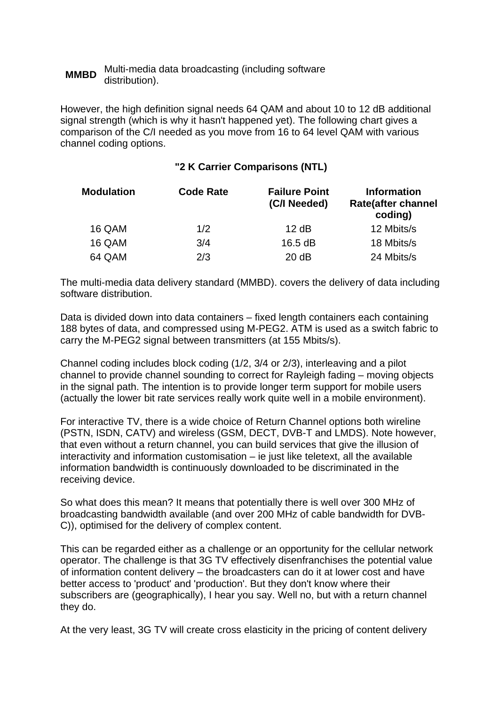#### **MMBD** Multi-media data broadcasting (including software distribution).

However, the high definition signal needs 64 QAM and about 10 to 12 dB additional signal strength (which is why it hasn't happened yet). The following chart gives a comparison of the C/I needed as you move from 16 to 64 level QAM with various channel coding options.

## **"2 K Carrier Comparisons (NTL)**

| <b>Modulation</b> | <b>Code Rate</b> | <b>Failure Point</b><br>(C/I Needed) | <b>Information</b><br><b>Rate(after channel</b><br>coding) |
|-------------------|------------------|--------------------------------------|------------------------------------------------------------|
| 16 QAM            | 1/2              | 12 dB                                | 12 Mbits/s                                                 |
| 16 QAM            | 3/4              | 16.5 dB                              | 18 Mbits/s                                                 |
| 64 QAM            | 2/3              | 20 dB                                | 24 Mbits/s                                                 |

The multi-media data delivery standard (MMBD). covers the delivery of data including software distribution.

Data is divided down into data containers – fixed length containers each containing 188 bytes of data, and compressed using M-PEG2. ATM is used as a switch fabric to carry the M-PEG2 signal between transmitters (at 155 Mbits/s).

Channel coding includes block coding (1/2, 3/4 or 2/3), interleaving and a pilot channel to provide channel sounding to correct for Rayleigh fading – moving objects in the signal path. The intention is to provide longer term support for mobile users (actually the lower bit rate services really work quite well in a mobile environment).

For interactive TV, there is a wide choice of Return Channel options both wireline (PSTN, ISDN, CATV) and wireless (GSM, DECT, DVB-T and LMDS). Note however, that even without a return channel, you can build services that give the illusion of interactivity and information customisation – ie just like teletext, all the available information bandwidth is continuously downloaded to be discriminated in the receiving device.

So what does this mean? It means that potentially there is well over 300 MHz of broadcasting bandwidth available (and over 200 MHz of cable bandwidth for DVB-C)), optimised for the delivery of complex content.

This can be regarded either as a challenge or an opportunity for the cellular network operator. The challenge is that 3G TV effectively disenfranchises the potential value of information content delivery – the broadcasters can do it at lower cost and have better access to 'product' and 'production'. But they don't know where their subscribers are (geographically), I hear you say. Well no, but with a return channel they do.

At the very least, 3G TV will create cross elasticity in the pricing of content delivery